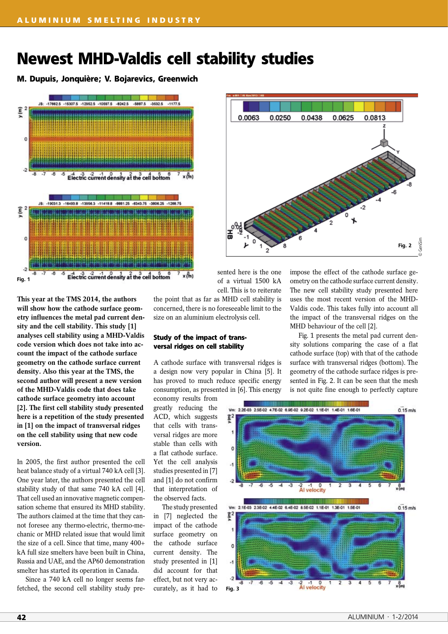# **Newest MHD-Valdis cell stability studies**

**M. Dupuis, Jonquière; V. Bojarevics, Greenwich**



0.0063 0.0813 0.0250 0.0438 0.0625 ĥ. Genisim © GeniSimFig. 2

sented here is the one of a virtual 1500 kA cell. This is to reiterate

**This year at the TMS 2014, the authors will show how the cathode surface geometry influences the metal pad current density and the cell stability. This study [1] analyses cell stability using a MHD-Valdis code version which does not take into account the impact of the cathode surface geometry on the cathode surface current density. Also this year at the TMS, the second author will present a new version of the MHD-Valdis code that does take cathode surface geometry into account [2]. The first cell stability study presented here is a repetition of the study presented in [1] on the impact of transversal ridges on the cell stability using that new code version.**

In 2005, the first author presented the cell heat balance study of a virtual 740 kA cell [3]. One year later, the authors presented the cell stability study of that same 740 kA cell [4]. That cell used an innovative magnetic compensation scheme that ensured its MHD stability. The authors claimed at the time that they cannot foresee any thermo-electric, thermo-mechanic or MHD related issue that would limit the size of a cell. Since that time, many 400+ kA full size smelters have been built in China, Russia and UAE, and the AP60 demonstration smelter has started its operation in Canada.

Since a 740 kA cell no longer seems farfetched, the second cell stability study prethe point that as far as MHD cell stability is concerned, there is no foreseeable limit to the size on an aluminium electrolysis cell.

### **Study of the impact of transversal ridges on cell stability**

A cathode surface with transversal ridges is a design now very popular in China [5]. It has proved to much reduce specific energy consumption, as presented in [6]. This energy

economy results from greatly reducing the ACD, which suggests that cells with transversal ridges are more stable than cells with a flat cathode surface. Yet the cell analysis studies presented in [7] and [1] do not confirm that interpretation of the observed facts.

The study presented in [7] neglected the impact of the cathode surface geometry on the cathode surface current density. The study presented in [1] did account for that effect, but not very accurately, as it had to impose the effect of the cathode surface geometry on the cathode surface current density. The new cell stability study presented here uses the most recent version of the MHD-Valdis code. This takes fully into account all the impact of the transversal ridges on the MHD behaviour of the cell [2].

Fig. 1 presents the metal pad current density solutions comparing the case of a flat cathode surface (top) with that of the cathode surface with transversal ridges (bottom). The geometry of the cathode surface ridges is presented in Fig. 2. It can be seen that the mesh is not quite fine enough to perfectly capture

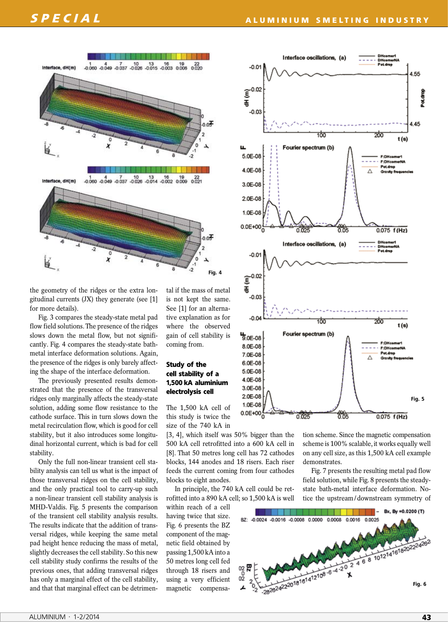

the geometry of the ridges or the extra longitudinal currents (JX) they generate (see [1] for more details).

Fig. 3 compares the steady-state metal pad flow field solutions. The presence of the ridges slows down the metal flow, but not significantly. Fig. 4 compares the steady-state bathmetal interface deformation solutions. Again, the presence of the ridges is only barely affecting the shape of the interface deformation.

The previously presented results demonstrated that the presence of the transversal ridges only marginally affects the steady-state solution, adding some flow resistance to the cathode surface. This in turn slows down the metal recirculation flow, which is good for cell stability, but it also introduces some longitudinal horizontal current, which is bad for cell stability.

Only the full non-linear transient cell stability analysis can tell us what is the impact of those transversal ridges on the cell stability, and the only practical tool to carry-up such a non-linear transient cell stability analysis is MHD-Valdis. Fig. 5 presents the comparison of the transient cell stability analysis results. The results indicate that the addition of transversal ridges, while keeping the same metal pad height hence reducing the mass of metal, slightly decreases the cell stability. So this new cell stability study confirms the results of the previous ones, that adding transversal ridges has only a marginal effect of the cell stability, and that that marginal effect can be detrimental if the mass of metal is not kept the same. See [1] for an alternative explanation as for where the observed gain of cell stability is coming from.

## **Study of the cell stability of a 1,500 kA aluminium electrolysis cell**

The 1,500 kA cell of this study is twice the size of the 740 kA in

[3, 4], which itself was 50% bigger than the 500 kA cell retrofitted into a 600 kA cell in [8]. That 50 metres long cell has 72 cathodes blocks, 144 anodes and 18 risers. Each riser feeds the current coming from four cathodes blocks to eight anodes.

In principle, the 740 kA cell could be retrofitted into a 890 kA cell; so 1,500 kA is well

within reach of a cell having twice that size. Fig. 6 presents the BZ component of the magnetic field obtained by passing 1,500 kA into a 50 metres long cell fed through 18 risers and using a very efficient magnetic compensa-



tion scheme. Since the magnetic compensation scheme is 100% scalable, it works equally well on any cell size, as this 1,500 kA cell example demonstrates.

Fig. 7 presents the resulting metal pad flow field solution, while Fig. 8 presents the steadystate bath-metal interface deformation. Notice the upstream/downstream symmetry of